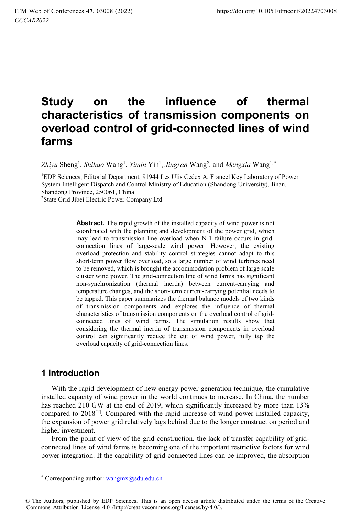# **Study on the influence of thermal characteristics of transmission components on overload control of grid-connected lines of wind farms**

Zhiyu Sheng<sup>1</sup>, Shihao Wang<sup>1</sup>, Yimin Yin<sup>1</sup>, Jingran Wang<sup>2</sup>, and *Mengxia* Wang<sup>1,\*</sup>

1EDP Sciences, Editorial Department, 91944 Les Ulis Cedex A, France1Key Laboratory of Power System Intelligent Dispatch and Control Ministry of Education (Shandong University), Jinan, Shandong Province, 250061, China 2State Grid Jibei Electric Power Company Ltd

> **Abstract.** The rapid growth of the installed capacity of wind power is not coordinated with the planning and development of the power grid, which may lead to transmission line overload when N-1 failure occurs in gridconnection lines of large-scale wind power. However, the existing overload protection and stability control strategies cannot adapt to this short-term power flow overload, so a large number of wind turbines need to be removed, which is brought the accommodation problem of large scale cluster wind power. The grid-connection line of wind farms has significant non-synchronization (thermal inertia) between current-carrying and temperature changes, and the short-term current-carrying potential needs to be tapped. This paper summarizes the thermal balance models of two kinds of transmission components and explores the influence of thermal characteristics of transmission components on the overload control of gridconnected lines of wind farms. The simulation results show that considering the thermal inertia of transmission components in overload control can significantly reduce the cut of wind power, fully tap the overload capacity of grid-connection lines.

#### **1 Introduction**

 $\overline{a}$ 

With the rapid development of new energy power generation technique, the cumulative installed capacity of wind power in the world continues to increase. In China, the number has reached 210 GW at the end of 2019, which significantly increased by more than 13% compared to  $2018$ <sup>[1]</sup>. Compared with the rapid increase of wind power installed capacity, the expansion of power grid relatively lags behind due to the longer construction period and higher investment.

From the point of view of the grid construction, the lack of transfer capability of gridconnected lines of wind farms is becoming one of the important restrictive factors for wind power integration. If the capability of grid-connected lines can be improved, the absorption

<sup>\*</sup> Corresponding author: wangmx@sdu.edu.cn

<sup>©</sup> The Authors, published by EDP Sciences. This is an open access article distributed under the terms of the Creative Commons Attribution License 4.0 (http://creativecommons.org/licenses/by/4.0/).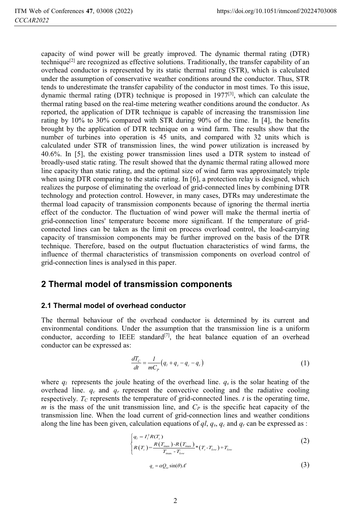capacity of wind power will be greatly improved. The dynamic thermal rating (DTR) technique<sup>[2]</sup> are recognized as effective solutions. Traditionally, the transfer capability of an overhead conductor is represented by its static thermal rating (STR), which is calculated under the assumption of conservative weather conditions around the conductor. Thus, STR tends to underestimate the transfer capability of the conductor in most times. To this issue, dynamic thermal rating (DTR) technique is proposed in  $1977^{[3]}$ , which can calculate the thermal rating based on the real-time metering weather conditions around the conductor. As reported, the application of DTR technique is capable of increasing the transmission line rating by 10% to 30% compared with STR during 90% of the time. In [4], the benefits brought by the application of DTR technique on a wind farm. The results show that the number of turbines into operation is 45 units, and compared with 32 units which is calculated under STR of transmission lines, the wind power utilization is increased by 40.6%. In [5], the existing power transmission lines used a DTR system to instead of broadly-used static rating. The result showed that the dynamic thermal rating allowed more line capacity than static rating, and the optimal size of wind farm was approximately triple when using DTR comparing to the static rating. In [6], a protection relay is designed, which realizes the purpose of eliminating the overload of grid-connected lines by combining DTR technology and protection control. However, in many cases, DTRs may underestimate the thermal load capacity of transmission components because of ignoring the thermal inertia effect of the conductor. The fluctuation of wind power will make the thermal inertia of grid-connection lines' temperature become more significant. If the temperature of gridconnected lines can be taken as the limit on process overload control, the load-carrying capacity of transmission components may be further improved on the basis of the DTR technique. Therefore, based on the output fluctuation characteristics of wind farms, the influence of thermal characteristics of transmission components on overload control of grid-connection lines is analysed in this paper.

#### **2 Thermal model of transmission components**

#### **2.1 Thermal model of overhead conductor**

The thermal behaviour of the overhead conductor is determined by its current and environmental conditions. Under the assumption that the transmission line is a uniform conductor, according to IEEE standard<sup>[7]</sup>, the heat balance equation of an overhead conductor can be expressed as:

$$
\frac{dT_c}{dt} = \frac{1}{mC_p} (q_l + q_s - q_c - q_r)
$$
 (1)

where  $q_l$  represents the joule heating of the overhead line.  $q_s$  is the solar heating of the overhead line.  $q_c$  and  $q_r$  represent the convective cooling and the radiative cooling respectively.  $T_c$  represents the temperature of grid-connected lines. *t* is the operating time, *m* is the mass of the unit transmission line, and  $C_P$  is the specific heat capacity of the transmission line. When the load current of grid-connection lines and weather conditions along the line has been given, calculation equations of  $q_l$ ,  $q_s$ ,  $q_c$  and  $q_r$  can be expressed as :

$$
\begin{cases}\n q_t = I_t^2 R(T_c) \\
 R(T_c) = \frac{R(T_{\text{max}}) - R(T_{\text{max}})}{T_{\text{max}} - T_{\text{low}}} * (T_c - T_{\text{low}}) + T_{\text{low}}\n\end{cases}
$$
\n(2)

$$
q_s = \alpha Q_{se} \sin(\theta) A' \tag{3}
$$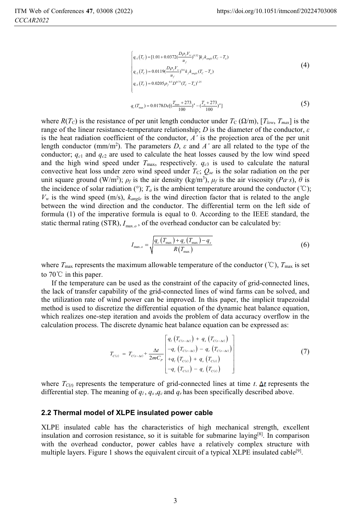$$
\begin{cases}\n q_{c1}(T_c) = [1.01 + 0.0372 \frac{(D\rho_f V_w)}{u_f})^{0.52} \, ]k_f k_{\text{angle}}(T_c - T_a) \\
 q_{c2}(T_c) = 0.0119 \frac{(D\rho_f V_w)}{u_f})^{0.6} k_f k_{\text{angle}}(T_c - T_a) \\
 q_{c3}(T_c) = 0.0205 \rho_f^{0.5} D^{0.75} (T_c - T_a)^{1.25}\n\end{cases}
$$
\n
$$
(4)
$$

$$
q_r(T_{\text{max}}) = 0.0178 D \varepsilon \left[ \left( \frac{T_{\text{max}} + 273}{100} \right)^4 - \left( \frac{T_a + 273}{100} \right)^4 \right] \tag{5}
$$

where  $R(T_C)$  is the resistance of per unit length conductor under  $T_C(\Omega/m)$ ,  $[T_{low}, T_{max}]$  is the range of the linear resistance-temperature relationship;  $D$  is the diameter of the conductor,  $\varepsilon$ is the heat radiation coefficient of the conductor,  $A'$  is the projection area of the per unit length conductor (mm/m<sup>2</sup>). The parameters *D*,  $\varepsilon$  and  $A'$  are all related to the type of the conductor; *qc*<sup>1</sup> and *qc*2 are used to calculate the heat losses caused by the low wind speed and the high wind speed under  $T_{\text{max}}$ , respectively.  $q_{c3}$  is used to calculate the natural convective heat loss under zero wind speed under  $T_c$ ;  $Q_{se}$  is the solar radiation on the per unit square ground (W/m<sup>2</sup>);  $\rho_f$  is the air density (kg/m<sup>3</sup>),  $\mu_f$  is the air viscosity (*Pa·s*),  $\hat{\theta}$  is the incidence of solar radiation ( $\degree$ ); *T<sub>a</sub>* is the ambient temperature around the conductor ( $\degree$ C);  $V_w$  is the wind speed (m/s),  $k_{angle}$  is the wind direction factor that is related to the angle between the wind direction and the conductor. The differential term on the left side of formula (1) of the imperative formula is equal to 0. According to the IEEE standard, the static thermal rating (STR),  $I_{\text{max}}$ <sub>0</sub>, of the overhead conductor can be calculated by:

$$
I_{\max, o} = \sqrt{\frac{q_c \left( T_{\max} \right) + q_r \left( T_{\max} \right) - q_s}{R \left( T_{\max} \right)}}
$$
(6)

where  $T_{\text{max}}$  represents the maximum allowable temperature of the conductor (°C),  $T_{\text{max}}$  is set to  $70^{\circ}$  in this paper.

If the temperature can be used as the constraint of the capacity of grid-connected lines, the lack of transfer capability of the grid-connected lines of wind farms can be solved, and the utilization rate of wind power can be improved. In this paper, the implicit trapezoidal method is used to discretize the differential equation of the dynamic heat balance equation, which realizes one-step iteration and avoids the problem of data accuracy overflow in the calculation process. The discrete dynamic heat balance equation can be expressed as:

$$
T_{C(t)} = T_{C(t-\Delta t)} + \frac{\Delta t}{2mC_{P}} \left[ \frac{q_{I} (T_{C(t-\Delta t)}) + q_{s} (T_{C(t-\Delta t)})}{-q_{c} (T_{C(t-\Delta t)}) - q_{r} (T_{C(t-\Delta t)})} \right]
$$
\n
$$
T_{C(t)} = T_{C(t-\Delta t)} + \frac{\Delta t}{2mC_{P}} \left[ \frac{q_{I} (T_{C(t-\Delta t)}) - q_{r} (T_{C(t)})}{-q_{c} (T_{C(t)}) - q_{r} (T_{C(t)})} \right]
$$
\n(7)

where  $T_{C(t)}$  represents the temperature of grid-connected lines at time *t*.  $\Delta t$  represents the differential step. The meaning of  $q_l$ ,  $q_s$ ,  $q_c$  and  $q_r$  has been specifically described above.

#### **2.2 Thermal model of XLPE insulated power cable**

XLPE insulated cable has the characteristics of high mechanical strength, excellent insulation and corrosion resistance, so it is suitable for submarine laying<sup>[8]</sup>. In comparison with the overhead conductor, power cables have a relatively complex structure with multiple layers. Figure 1 shows the equivalent circuit of a typical XLPE insulated cable<sup>[9]</sup>.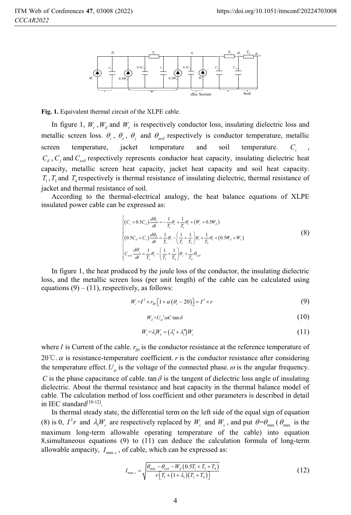

**Fig. 1.** Equivalent thermal circuit of the XLPE cable.

In figure 1,  $W_c$ ,  $W_d$  and  $W_s$  is respectively conductor loss, insulating dielectric loss and metallic screen loss.  $\theta_c$ ,  $\theta_s$ ,  $\theta_j$  and  $\theta_{\text{sol}}$  respectively is conductor temperature, metallic screen temperature, jacket temperature and soil temperature.  $C_c$  $C_d$ ,  $C_i$  and  $C_{soli}$  respectively represents conductor heat capacity, insulating dielectric heat capacity, metallic screen heat capacity, jacket heat capacity and soil heat capacity.  $T_1$ ,  $T_3$  and  $T_4$  respectively is thermal resistance of insulating dielectric, thermal resistance of jacket and thermal resistance of soil.

According to the thermal-electrical analogy, the heat balance equations of XLPE insulated power cable can be expressed as:

$$
\begin{cases}\n(C_c + 0.5C_d) \frac{d\theta_C}{dt} = -\frac{1}{T_1} \theta_c + \frac{1}{T_1} \theta_s + (W_c + 0.5W_d) \\
(0.5C_d + C_s) \frac{d\theta_s}{dt} = \frac{1}{T_1} \theta_c - \left(\frac{1}{T_1} + \frac{1}{T_3}\right) \theta_s + \frac{1}{T_3} \theta_s + (0.5W_d + W_s) \\
C_{soul} \frac{d\theta_j}{dt} = \frac{1}{T_3} \theta_s - \left(\frac{1}{T_3} + \frac{1}{T_4}\right) \theta_j + \frac{1}{T_4} \theta_{soll}\n\end{cases}
$$
\n(8)

In figure 1, the heat produced by the joule loss of the conductor, the insulating dielectric loss, and the metallic screen loss (per unit length) of the cable can be calculated using equations  $(9) - (11)$ , respectively, as follows:

$$
W_c = I^2 \times r_{20} \left[ 1 + \alpha \left( \theta_c - 20 \right) \right] = I^2 \times r \tag{9}
$$

$$
W_d = U_\varphi^2 \omega C \tan \delta \tag{10}
$$

$$
W_s = \lambda_1 W_c = \left(\lambda_1' + \lambda_1''\right) W_c \tag{11}
$$

where *I* is Current of the cable.  $r_{20}$  is the conductor resistance at the reference temperature of 20<sup> $\degree$ </sup>C.  $\alpha$  is resistance-temperature coefficient. *r* is the conductor resistance after considering the temperature effect.  $U_{\alpha}$  is the voltage of the connected phase.  $\omega$  is the angular frequency.

*C* is the phase capacitance of cable. tan  $\delta$  is the tangent of dielectric loss angle of insulating dielectric. About the thermal resistance and heat capacity in the thermal balance model of cable. The calculation method of loss coefficient and other parameters is described in detail in IEC standard[10-12].

In thermal steady state, the differential term on the left side of the equal sign of equation (8) is 0,  $I^2r$  and  $\lambda_1W_c$  are respectively replaced by  $W_c$  and  $W_s$ , and put  $\theta = \theta_{\text{max}}$  ( $\theta_{\text{max}}$  is the maximum long-term allowable operating temperature of the cable) into equation 8,simultaneous equations (9) to (11) can deduce the calculation formula of long-term allowable ampacity,  $I_{\text{max},c}$ , of cable, which can be expressed as:

$$
I_{\max.c} = \sqrt{\frac{\theta_{\max} - \theta_{\text{sol}} - W_d \left(0.5T_1 + T_3 + T_4\right)}{r \left[T_1 + \left(1 + \lambda_1\right)\left(T_3 + T_4\right)\right]}}
$$
(12)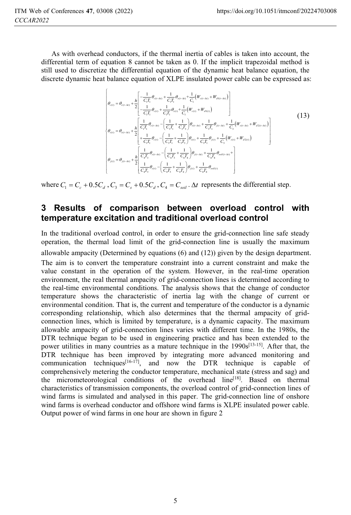As with overhead conductors, if the thermal inertia of cables is taken into account, the differential term of equation 8 cannot be taken as 0. If the implicit trapezoidal method is still used to discretize the differential equation of the dynamic heat balance equation, the discrete dynamic heat balance equation of XLPE insulated power cable can be expressed as:

$$
\begin{pmatrix}\n\theta_{c(t)} = \theta_{c(t-\Delta t)} + \frac{h}{2} \left[ \frac{-\frac{1}{C_{i}T_{i}} \theta_{c(t-\Delta t)} + \frac{1}{C_{i}T_{i}} \theta_{c(t-\Delta t)} + \frac{1}{C_{i}} (W_{c(t-\Delta t)} + W_{d1(t-\Delta t)}) \right] \\
-\frac{1}{C_{i}T_{i}} \theta_{c(t)} + \frac{1}{C_{i}T_{i}} \theta_{c(t)} + \frac{1}{C_{i}} (W_{c(t)} + W_{d1(t)})\n\end{pmatrix}
$$
\n
$$
\theta_{c(t)} = \theta_{c(t-\Delta t)} + \frac{h}{2} \left[ \frac{\frac{1}{C_{i}T_{i}} \theta_{c(t-\Delta t)} - \left( \frac{1}{C_{i}T_{i}} + \frac{1}{C_{i}T_{i}} \right) \theta_{c(t-\Delta t)} + \frac{1}{C_{i}T_{i}} \theta_{f(t-\Delta t)} + \frac{1}{C_{i}} (W_{c(t-\Delta t)} + W_{d2(t-\Delta t)}) \right]
$$
\n
$$
\theta_{c(t)} = \theta_{c(t-\Delta t)} + \frac{h}{2} \left[ \frac{\frac{1}{C_{i}T_{i}} \theta_{c(t)} - \left( \frac{1}{C_{i}T_{i}} + \frac{1}{C_{i}T_{i}} \right) \theta_{c(t)} + \frac{1}{C_{i}T_{i}} \theta_{f(t)} + \frac{1}{C_{i}} (W_{s(t)} + W_{d2(t)}) \right]
$$
\n
$$
\theta_{f(t)} = \theta_{f(t-\Delta t)} + \frac{h}{2} \left[ \frac{\frac{1}{C_{i}T_{i}} \theta_{c(t-\Delta t)} - \left( \frac{1}{C_{i}T_{i}} + \frac{1}{C_{i}T_{i}} \right) \theta_{f(t-\Delta t)} + \frac{1}{C_{i}T_{i}} \theta_{s s i(t-\Delta t)} + \frac{1}{C_{i}T_{i}} \theta_{f(t)} \right]
$$
\n(13)

where  $C_1 = C_c + 0.5C_d$ ,  $C_2 = C_s + 0.5C_d$ ,  $C_3 = C_{coll}$ .  $\Delta t$  represents the differential step.

#### **3 Results of comparison between overload control with temperature excitation and traditional overload control**

In the traditional overload control, in order to ensure the grid-connection line safe steady operation, the thermal load limit of the grid-connection line is usually the maximum allowable ampacity (Determined by equations  $(6)$  and  $(12)$ ) given by the design department.

The aim is to convert the temperature constraint into a current constraint and make the value constant in the operation of the system. However, in the real-time operation environment, the real thermal ampacity of grid-connection lines is determined according to the real-time environmental conditions. The analysis shows that the change of conductor temperature shows the characteristic of inertia lag with the change of current or environmental condition. That is, the current and temperature of the conductor is a dynamic corresponding relationship, which also determines that the thermal ampacity of gridconnection lines, which is limited by temperature, is a dynamic capacity. The maximum allowable ampacity of grid-connection lines varies with different time. In the 1980s, the DTR technique began to be used in engineering practice and has been extended to the power utilities in many countries as a mature technique in the  $1990s^{[13-15]}$ . After that, the DTR technique has been improved by integrating more advanced monitoring and communication techniques<sup>[16-17]</sup>, and now the DTR technique is capable of comprehensively metering the conductor temperature, mechanical state (stress and sag) and the micrometeorological conditions of the overhead  $line<sup>[18]</sup>$ . Based on thermal characteristics of transmission components, the overload control of grid-connection lines of wind farms is simulated and analysed in this paper. The grid-connection line of onshore wind farms is overhead conductor and offshore wind farms is XLPE insulated power cable. Output power of wind farms in one hour are shown in figure 2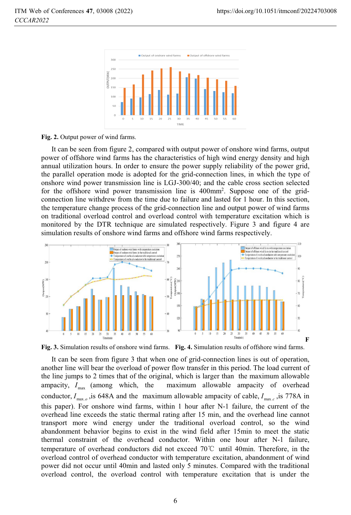

#### **Fig. 2.** Output power of wind farms.

It can be seen from figure 2, compared with output power of onshore wind farms, output power of offshore wind farms has the characteristics of high wind energy density and high annual utilization hours. In order to ensure the power supply reliability of the power grid, the parallel operation mode is adopted for the grid-connection lines, in which the type of onshore wind power transmission line is LGJ-300/40; and the cable cross section selected for the offshore wind power transmission line is 400mm<sup>2</sup>. Suppose one of the gridconnection line withdrew from the time due to failure and lasted for 1 hour. In this section, the temperature change process of the grid-connection line and output power of wind farms on traditional overload control and overload control with temperature excitation which is monitored by the DTR technique are simulated respectively. Figure 3 and figure 4 are simulation results of onshore wind farms and offshore wind farms respectively.



**Fig. 3.** Simulation results of onshore wind farms. **Fig. 4.** Simulation results of offshore wind farms.

It can be seen from figure 3 that when one of grid-connection lines is out of operation, another line will bear the overload of power flow transfer in this period. The load current of the line jumps to 2 times that of the original, which is larger than the maximum allowable ampacity,  $I_{\text{max}}$  (among which, the maximum allowable ampacity of overhead conductor,  $I_{\text{max } \rho}$ , is 648A and the maximum allowable ampacity of cable,  $I_{\text{max } \rho}$ , is 778A in this paper). For onshore wind farms, within 1 hour after N-1 failure, the current of the overhead line exceeds the static thermal rating after 15 min, and the overhead line cannot transport more wind energy under the traditional overload control, so the wind abandonment behavior begins to exist in the wind field after 15min to meet the static thermal constraint of the overhead conductor. Within one hour after N-1 failure, temperature of overhead conductors did not exceed 70ć until 40min. Therefore, in the overload control of overhead conductor with temperature excitation, abandonment of wind power did not occur until 40min and lasted only 5 minutes. Compared with the traditional overload control, the overload control with temperature excitation that is under the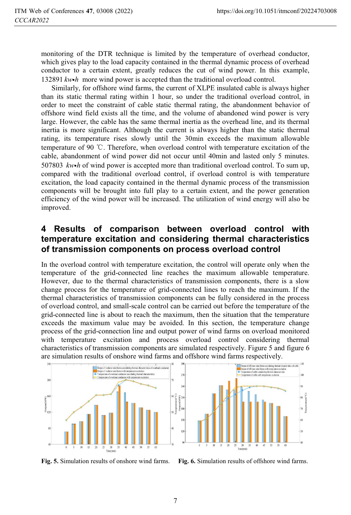monitoring of the DTR technique is limited by the temperature of overhead conductor, which gives play to the load capacity contained in the thermal dynamic process of overhead conductor to a certain extent, greatly reduces the cut of wind power. In this example, 132891 *kw h*- more wind power is accepted than the traditional overload control.

Similarly, for offshore wind farms, the current of XLPE insulated cable is always higher than its static thermal rating within 1 hour, so under the traditional overload control, in order to meet the constraint of cable static thermal rating, the abandonment behavior of offshore wind field exists all the time, and the volume of abandoned wind power is very large. However, the cable has the same thermal inertia as the overhead line, and its thermal inertia is more significant. Although the current is always higher than the static thermal rating, its temperature rises slowly until the 30min exceeds the maximum allowable temperature of 90 ć. Therefore, when overload control with temperature excitation of the cable, abandonment of wind power did not occur until 40min and lasted only 5 minutes. 507803 kw•h of wind power is accepted more than traditional overload control. To sum up, compared with the traditional overload control, if overload control is with temperature excitation, the load capacity contained in the thermal dynamic process of the transmission components will be brought into full play to a certain extent, and the power generation efficiency of the wind power will be increased. The utilization of wind energy will also be improved.

### **4 Results of comparison between overload control with temperature excitation and considering thermal characteristics of transmission components on process overload control**

In the overload control with temperature excitation, the control will operate only when the temperature of the grid-connected line reaches the maximum allowable temperature. However, due to the thermal characteristics of transmission components, there is a slow change process for the temperature of grid-connected lines to reach the maximum. If the thermal characteristics of transmission components can be fully considered in the process of overload control, and small-scale control can be carried out before the temperature of the grid-connected line is about to reach the maximum, then the situation that the temperature exceeds the maximum value may be avoided. In this section, the temperature change process of the grid-connection line and output power of wind farms on overload monitored with temperature excitation and process overload control considering thermal characteristics of transmission components are simulated respectively. Figure 5 and figure 6 are simulation results of onshore wind farms and offshore wind farms respectively.





**Fig. 5.** Simulation results of onshore wind farms. **Fig. 6.** Simulation results of offshore wind farms.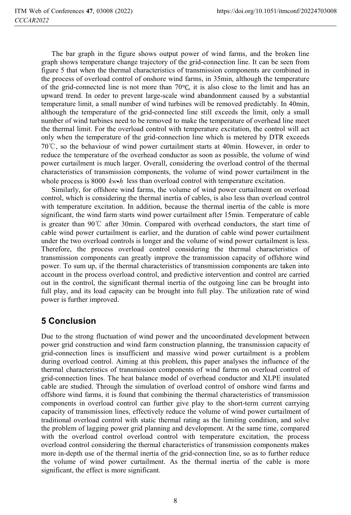The bar graph in the figure shows output power of wind farms, and the broken line graph shows temperature change trajectory of the grid-connection line. It can be seen from figure 5 that when the thermal characteristics of transmission components are combined in the process of overload control of onshore wind farms, in 35min, although the temperature of the grid-connected line is not more than  $70^{\circ}$ C, it is also close to the limit and has an upward trend. In order to prevent large-scale wind abandonment caused by a substantial temperature limit, a small number of wind turbines will be removed predictably. In 40min, although the temperature of the grid-connected line still exceeds the limit, only a small number of wind turbines need to be removed to make the temperature of overhead line meet the thermal limit. For the overload control with temperature excitation, the control will act only when the temperature of the grid-connection line which is metered by DTR exceeds  $70^{\circ}$ C, so the behaviour of wind power curtailment starts at 40min. However, in order to reduce the temperature of the overhead conductor as soon as possible, the volume of wind power curtailment is much larger. Overall, considering the overload control of the thermal characteristics of transmission components, the volume of wind power curtailment in the whole process is 8000  $kw \cdot h$  less than overload control with temperature excitation.

Similarly, for offshore wind farms, the volume of wind power curtailment on overload control, which is considering the thermal inertia of cables, is also less than overload control with temperature excitation. In addition, because the thermal inertia of the cable is more significant, the wind farm starts wind power curtailment after 15min. Temperature of cable is greater than  $90^{\circ}$  after 30min. Compared with overhead conductors, the start time of cable wind power curtailment is earlier, and the duration of cable wind power curtailment under the two overload controls is longer and the volume of wind power curtailment is less. Therefore, the process overload control considering the thermal characteristics of transmission components can greatly improve the transmission capacity of offshore wind power. To sum up, if the thermal characteristics of transmission components are taken into account in the process overload control, and predictive intervention and control are carried out in the control, the significant thermal inertia of the outgoing line can be brought into full play, and its load capacity can be brought into full play. The utilization rate of wind power is further improved.

## **5 Conclusion**

Due to the strong fluctuation of wind power and the uncoordinated development between power grid construction and wind farm construction planning, the transmission capacity of grid-connection lines is insufficient and massive wind power curtailment is a problem during overload control. Aiming at this problem, this paper analyses the influence of the thermal characteristics of transmission components of wind farms on overload control of grid-connection lines. The heat balance model of overhead conductor and XLPE insulated cable are studied. Through the simulation of overload control of onshore wind farms and offshore wind farms, it is found that combining the thermal characteristics of transmission components in overload control can further give play to the short-term current carrying capacity of transmission lines, effectively reduce the volume of wind power curtailment of traditional overload control with static thermal rating as the limiting condition, and solve the problem of lagging power grid planning and development. At the same time, compared with the overload control overload control with temperature excitation, the process overload control considering the thermal characteristics of transmission components makes more in-depth use of the thermal inertia of the grid-connection line, so as to further reduce the volume of wind power curtailment. As the thermal inertia of the cable is more significant, the effect is more significant.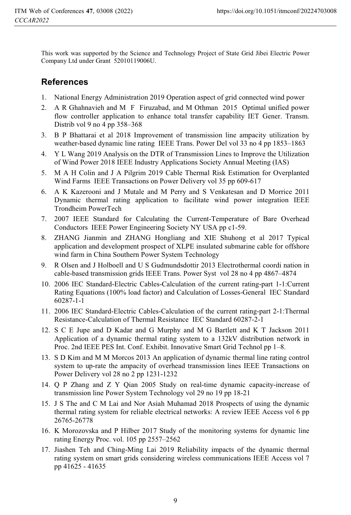This work was supported by the Science and Technology Project of State Grid Jibei Electric Power Company Ltd under Grant 52010119006U.

### **References**

- 1. National Energy Administration 2019 Operation aspect of grid connected wind power
- 2. A R Ghahnavieh and M F Firuzabad, and M Othman 2015 Optimal unified power flow controller application to enhance total transfer capability IET Gener. Transm. Distrib vol 9 no 4 pp 358–368
- 3. B P Bhattarai et al 2018 Improvement of transmission line ampacity utilization by weather-based dynamic line rating IEEE Trans. Power Del vol 33 no 4 pp 1853–1863
- 4. Y L Wang 2019 Analysis on the DTR of Transmission Lines to Improve the Utilization of Wind Power 2018 IEEE Industry Applications Society Annual Meeting (IAS)
- 5. M A H Colin and J A Pilgrim 2019 Cable Thermal Risk Estimation for Overplanted Wind Farms IEEE Transactions on Power Delivery vol 35 pp 609-617
- 6. A K Kazerooni and J Mutale and M Perry and S Venkatesan and D Morrice 2011 Dynamic thermal rating application to facilitate wind power integration IEEE Trondheim PowerTech
- 7. 2007 IEEE Standard for Calculating the Current-Temperature of Bare Overhead Conductors IEEE Power Engineering Society NY USA pp c1-59.
- 8. ZHANG Jianmin and ZHANG Hongliang and XIE Shuhong et al 2017 Typical application and development prospect of XLPE insulated submarine cable for offshore wind farm in China Southern Power System Technology
- 9. R Olsen and J Holboell and U S Gudmundsdottir 2013 Electrothermal coordi nation in cable-based transmission grids IEEE Trans. Power Syst vol 28 no 4 pp 4867–4874
- 10. 2006 IEC Standard-Electric Cables-Calculation of the current rating-part 1-1:Current Rating Equations (100% load factor) and Calculation of Losses-General IEC Standard 60287-1-1
- 11. 2006 IEC Standard-Electric Cables-Calculation of the current rating-part 2-1:Thermal Resistance-Calculation of Thermal Resistance IEC Standard 60287-2-1
- 12. S C E Jupe and D Kadar and G Murphy and M G Bartlett and K T Jackson 2011 Application of a dynamic thermal rating system to a 132kV distribution network in Proc. 2nd IEEE PES Int. Conf. Exhibit. Innovative Smart Grid Technol pp 1–8.
- 13. S D Kim and M M Morcos 2013 An application of dynamic thermal line rating control system to up-rate the ampacity of overhead transmission lines IEEE Transactions on Power Delivery vol 28 no 2 pp 1231-1232
- 14. Q P Zhang and Z Y Qian 2005 Study on real-time dynamic capacity-increase of transmission line Power System Technology vol 29 no 19 pp 18-21
- 15. J S The and C M Lai and Nor Asiah Muhamad 2018 Prospects of using the dynamic thermal rating system for reliable electrical networks: A review IEEE Access vol 6 pp 26765-26778
- 16. K Morozovska and P Hilber 2017 Study of the monitoring systems for dynamic line rating Energy Proc. vol. 105 pp 2557–2562
- 17. Jiashen Teh and Ching-Ming Lai 2019 Reliability impacts of the dynamic thermal rating system on smart grids considering wireless communications IEEE Access vol 7 pp 41625 - 41635